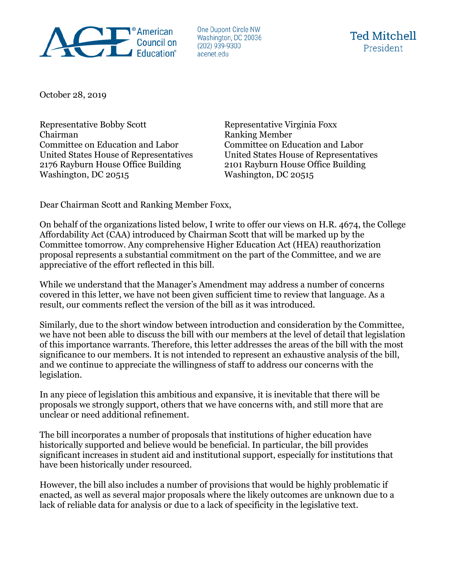

One Dupont Circle NW Washington, DC 20036  $(202)$  939-9300 acenet.edu

October 28, 2019

Representative Bobby Scott Representative Virginia Foxx Chairman Ranking Member Committee on Education and Labor Committee on Education and Labor United States House of Representatives United States House of Representatives 2176 Rayburn House Office Building 2101 Rayburn House Office Building Washington, DC 20515

Dear Chairman Scott and Ranking Member Foxx,

On behalf of the organizations listed below, I write to offer our views on H.R. 4674, the College Affordability Act (CAA) introduced by Chairman Scott that will be marked up by the Committee tomorrow. Any comprehensive Higher Education Act (HEA) reauthorization proposal represents a substantial commitment on the part of the Committee, and we are appreciative of the effort reflected in this bill.

While we understand that the Manager's Amendment may address a number of concerns covered in this letter, we have not been given sufficient time to review that language. As a result, our comments reflect the version of the bill as it was introduced.

Similarly, due to the short window between introduction and consideration by the Committee, we have not been able to discuss the bill with our members at the level of detail that legislation of this importance warrants. Therefore, this letter addresses the areas of the bill with the most significance to our members. It is not intended to represent an exhaustive analysis of the bill, and we continue to appreciate the willingness of staff to address our concerns with the legislation.

In any piece of legislation this ambitious and expansive, it is inevitable that there will be proposals we strongly support, others that we have concerns with, and still more that are unclear or need additional refinement.

The bill incorporates a number of proposals that institutions of higher education have historically supported and believe would be beneficial. In particular, the bill provides significant increases in student aid and institutional support, especially for institutions that have been historically under resourced.

However, the bill also includes a number of provisions that would be highly problematic if enacted, as well as several major proposals where the likely outcomes are unknown due to a lack of reliable data for analysis or due to a lack of specificity in the legislative text.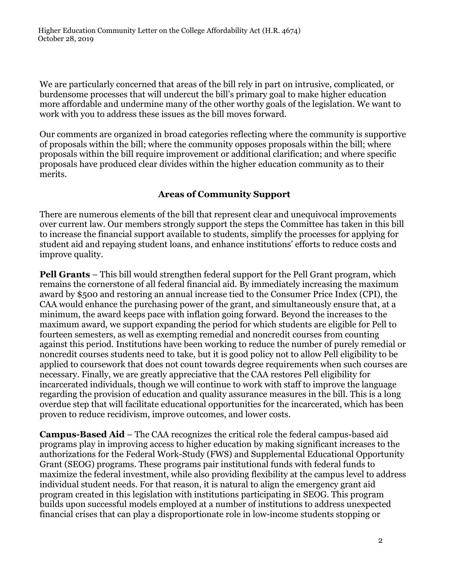We are particularly concerned that areas of the bill rely in part on intrusive, complicated, or burdensome processes that will undercut the bill's primary goal to make higher education more affordable and undermine many of the other worthy goals of the legislation. We want to work with you to address these issues as the bill moves forward.

Our comments are organized in broad categories reflecting where the community is supportive of proposals within the bill; where the community opposes proposals within the bill; where proposals within the bill require improvement or additional clarification; and where specific proposals have produced clear divides within the higher education community as to their merits.

## **Areas of Community Support**

There are numerous elements of the bill that represent clear and unequivocal improvements over current law. Our members strongly support the steps the Committee has taken in this bill to increase the financial support available to students, simplify the processes for applying for student aid and repaying student loans, and enhance institutions' efforts to reduce costs and improve quality.

**Pell Grants** – This bill would strengthen federal support for the Pell Grant program, which remains the cornerstone of all federal financial aid. By immediately increasing the maximum award by \$500 and restoring an annual increase tied to the Consumer Price Index (CPI), the CAA would enhance the purchasing power of the grant, and simultaneously ensure that, at a minimum, the award keeps pace with inflation going forward. Beyond the increases to the maximum award, we support expanding the period for which students are eligible for Pell to fourteen semesters, as well as exempting remedial and noncredit courses from counting against this period. Institutions have been working to reduce the number of purely remedial or noncredit courses students need to take, but it is good policy not to allow Pell eligibility to be applied to coursework that does not count towards degree requirements when such courses are necessary. Finally, we are greatly appreciative that the CAA restores Pell eligibility for incarcerated individuals, though we will continue to work with staff to improve the language regarding the provision of education and quality assurance measures in the bill. This is a long overdue step that will facilitate educational opportunities for the incarcerated, which has been proven to reduce recidivism, improve outcomes, and lower costs.

**Campus-Based Aid** – The CAA recognizes the critical role the federal campus-based aid programs play in improving access to higher education by making significant increases to the authorizations for the Federal Work-Study (FWS) and Supplemental Educational Opportunity Grant (SEOG) programs. These programs pair institutional funds with federal funds to maximize the federal investment, while also providing flexibility at the campus level to address individual student needs. For that reason, it is natural to align the emergency grant aid program created in this legislation with institutions participating in SEOG. This program builds upon successful models employed at a number of institutions to address unexpected financial crises that can play a disproportionate role in low-income students stopping or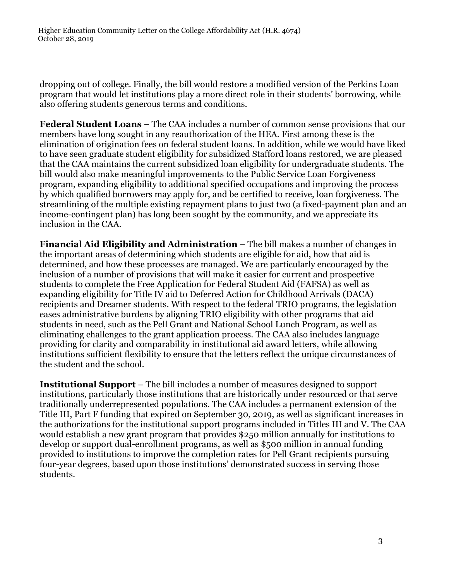Higher Education Community Letter on the College Affordability Act (H.R. 4674) October 28, 2019

dropping out of college. Finally, the bill would restore a modified version of the Perkins Loan program that would let institutions play a more direct role in their students' borrowing, while also offering students generous terms and conditions.

**Federal Student Loans** – The CAA includes a number of common sense provisions that our members have long sought in any reauthorization of the HEA. First among these is the elimination of origination fees on federal student loans. In addition, while we would have liked to have seen graduate student eligibility for subsidized Stafford loans restored, we are pleased that the CAA maintains the current subsidized loan eligibility for undergraduate students. The bill would also make meaningful improvements to the Public Service Loan Forgiveness program, expanding eligibility to additional specified occupations and improving the process by which qualified borrowers may apply for, and be certified to receive, loan forgiveness. The streamlining of the multiple existing repayment plans to just two (a fixed-payment plan and an income-contingent plan) has long been sought by the community, and we appreciate its inclusion in the CAA.

**Financial Aid Eligibility and Administration** – The bill makes a number of changes in the important areas of determining which students are eligible for aid, how that aid is determined, and how these processes are managed. We are particularly encouraged by the inclusion of a number of provisions that will make it easier for current and prospective students to complete the Free Application for Federal Student Aid (FAFSA) as well as expanding eligibility for Title IV aid to Deferred Action for Childhood Arrivals (DACA) recipients and Dreamer students. With respect to the federal TRIO programs, the legislation eases administrative burdens by aligning TRIO eligibility with other programs that aid students in need, such as the Pell Grant and National School Lunch Program, as well as eliminating challenges to the grant application process. The CAA also includes language providing for clarity and comparability in institutional aid award letters, while allowing institutions sufficient flexibility to ensure that the letters reflect the unique circumstances of the student and the school.

**Institutional Support** – The bill includes a number of measures designed to support institutions, particularly those institutions that are historically under resourced or that serve traditionally underrepresented populations. The CAA includes a permanent extension of the Title III, Part F funding that expired on September 30, 2019, as well as significant increases in the authorizations for the institutional support programs included in Titles III and V. The CAA would establish a new grant program that provides \$250 million annually for institutions to develop or support dual-enrollment programs, as well as \$500 million in annual funding provided to institutions to improve the completion rates for Pell Grant recipients pursuing four-year degrees, based upon those institutions' demonstrated success in serving those students.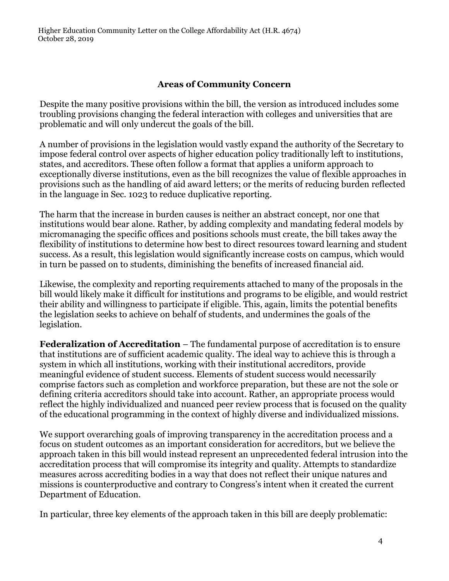# **Areas of Community Concern**

Despite the many positive provisions within the bill, the version as introduced includes some troubling provisions changing the federal interaction with colleges and universities that are problematic and will only undercut the goals of the bill.

A number of provisions in the legislation would vastly expand the authority of the Secretary to impose federal control over aspects of higher education policy traditionally left to institutions, states, and accreditors. These often follow a format that applies a uniform approach to exceptionally diverse institutions, even as the bill recognizes the value of flexible approaches in provisions such as the handling of aid award letters; or the merits of reducing burden reflected in the language in Sec. 1023 to reduce duplicative reporting.

The harm that the increase in burden causes is neither an abstract concept, nor one that institutions would bear alone. Rather, by adding complexity and mandating federal models by micromanaging the specific offices and positions schools must create, the bill takes away the flexibility of institutions to determine how best to direct resources toward learning and student success. As a result, this legislation would significantly increase costs on campus, which would in turn be passed on to students, diminishing the benefits of increased financial aid.

Likewise, the complexity and reporting requirements attached to many of the proposals in the bill would likely make it difficult for institutions and programs to be eligible, and would restrict their ability and willingness to participate if eligible. This, again, limits the potential benefits the legislation seeks to achieve on behalf of students, and undermines the goals of the legislation.

**Federalization of Accreditation** – The fundamental purpose of accreditation is to ensure that institutions are of sufficient academic quality. The ideal way to achieve this is through a system in which all institutions, working with their institutional accreditors, provide meaningful evidence of student success. Elements of student success would necessarily comprise factors such as completion and workforce preparation, but these are not the sole or defining criteria accreditors should take into account. Rather, an appropriate process would reflect the highly individualized and nuanced peer review process that is focused on the quality of the educational programming in the context of highly diverse and individualized missions.

We support overarching goals of improving transparency in the accreditation process and a focus on student outcomes as an important consideration for accreditors, but we believe the approach taken in this bill would instead represent an unprecedented federal intrusion into the accreditation process that will compromise its integrity and quality. Attempts to standardize measures across accrediting bodies in a way that does not reflect their unique natures and missions is counterproductive and contrary to Congress's intent when it created the current Department of Education.

In particular, three key elements of the approach taken in this bill are deeply problematic: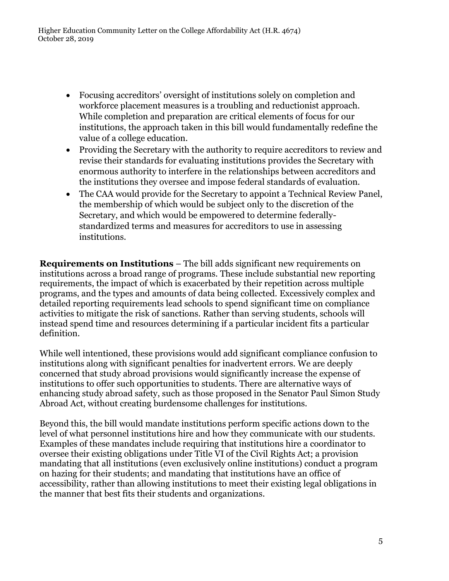- Focusing accreditors' oversight of institutions solely on completion and workforce placement measures is a troubling and reductionist approach. While completion and preparation are critical elements of focus for our institutions, the approach taken in this bill would fundamentally redefine the value of a college education.
- Providing the Secretary with the authority to require accreditors to review and revise their standards for evaluating institutions provides the Secretary with enormous authority to interfere in the relationships between accreditors and the institutions they oversee and impose federal standards of evaluation.
- The CAA would provide for the Secretary to appoint a Technical Review Panel, the membership of which would be subject only to the discretion of the Secretary, and which would be empowered to determine federallystandardized terms and measures for accreditors to use in assessing institutions.

**Requirements on Institutions** – The bill adds significant new requirements on institutions across a broad range of programs. These include substantial new reporting requirements, the impact of which is exacerbated by their repetition across multiple programs, and the types and amounts of data being collected. Excessively complex and detailed reporting requirements lead schools to spend significant time on compliance activities to mitigate the risk of sanctions. Rather than serving students, schools will instead spend time and resources determining if a particular incident fits a particular definition.

While well intentioned, these provisions would add significant compliance confusion to institutions along with significant penalties for inadvertent errors. We are deeply concerned that study abroad provisions would significantly increase the expense of institutions to offer such opportunities to students. There are alternative ways of enhancing study abroad safety, such as those proposed in the Senator Paul Simon Study Abroad Act, without creating burdensome challenges for institutions.

Beyond this, the bill would mandate institutions perform specific actions down to the level of what personnel institutions hire and how they communicate with our students. Examples of these mandates include requiring that institutions hire a coordinator to oversee their existing obligations under Title VI of the Civil Rights Act; a provision mandating that all institutions (even exclusively online institutions) conduct a program on hazing for their students; and mandating that institutions have an office of accessibility, rather than allowing institutions to meet their existing legal obligations in the manner that best fits their students and organizations.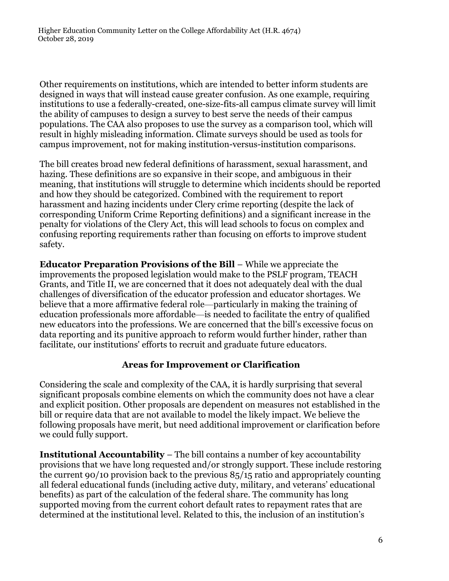Other requirements on institutions, which are intended to better inform students are designed in ways that will instead cause greater confusion. As one example, requiring institutions to use a federally-created, one-size-fits-all campus climate survey will limit the ability of campuses to design a survey to best serve the needs of their campus populations. The CAA also proposes to use the survey as a comparison tool, which will result in highly misleading information. Climate surveys should be used as tools for campus improvement, not for making institution-versus-institution comparisons.

The bill creates broad new federal definitions of harassment, sexual harassment, and hazing. These definitions are so expansive in their scope, and ambiguous in their meaning, that institutions will struggle to determine which incidents should be reported and how they should be categorized. Combined with the requirement to report harassment and hazing incidents under Clery crime reporting (despite the lack of corresponding Uniform Crime Reporting definitions) and a significant increase in the penalty for violations of the Clery Act, this will lead schools to focus on complex and confusing reporting requirements rather than focusing on efforts to improve student safety.

**Educator Preparation Provisions of the Bill** – While we appreciate the improvements the proposed legislation would make to the PSLF program, TEACH Grants, and Title II, we are concerned that it does not adequately deal with the dual challenges of diversification of the educator profession and educator shortages. We believe that a more affirmative federal role—particularly in making the training of education professionals more affordable—is needed to facilitate the entry of qualified new educators into the professions. We are concerned that the bill's excessive focus on data reporting and its punitive approach to reform would further hinder, rather than facilitate, our institutions' efforts to recruit and graduate future educators.

## **Areas for Improvement or Clarification**

Considering the scale and complexity of the CAA, it is hardly surprising that several significant proposals combine elements on which the community does not have a clear and explicit position. Other proposals are dependent on measures not established in the bill or require data that are not available to model the likely impact. We believe the following proposals have merit, but need additional improvement or clarification before we could fully support.

**Institutional Accountability** – The bill contains a number of key accountability provisions that we have long requested and/or strongly support. These include restoring the current 90/10 provision back to the previous 85/15 ratio and appropriately counting all federal educational funds (including active duty, military, and veterans' educational benefits) as part of the calculation of the federal share. The community has long supported moving from the current cohort default rates to repayment rates that are determined at the institutional level. Related to this, the inclusion of an institution's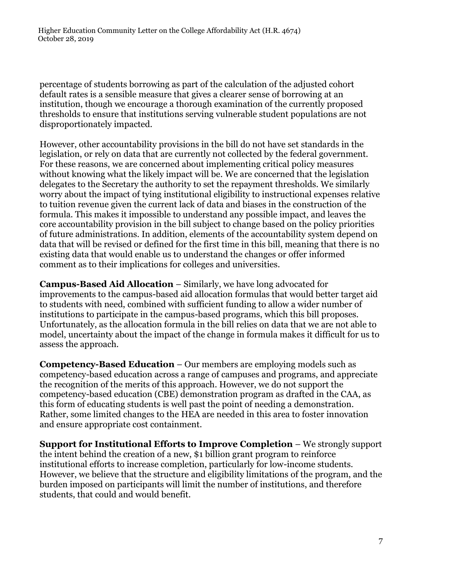percentage of students borrowing as part of the calculation of the adjusted cohort default rates is a sensible measure that gives a clearer sense of borrowing at an institution, though we encourage a thorough examination of the currently proposed thresholds to ensure that institutions serving vulnerable student populations are not disproportionately impacted.

However, other accountability provisions in the bill do not have set standards in the legislation, or rely on data that are currently not collected by the federal government. For these reasons, we are concerned about implementing critical policy measures without knowing what the likely impact will be. We are concerned that the legislation delegates to the Secretary the authority to set the repayment thresholds. We similarly worry about the impact of tying institutional eligibility to instructional expenses relative to tuition revenue given the current lack of data and biases in the construction of the formula. This makes it impossible to understand any possible impact, and leaves the core accountability provision in the bill subject to change based on the policy priorities of future administrations. In addition, elements of the accountability system depend on data that will be revised or defined for the first time in this bill, meaning that there is no existing data that would enable us to understand the changes or offer informed comment as to their implications for colleges and universities.

**Campus-Based Aid Allocation** – Similarly, we have long advocated for improvements to the campus-based aid allocation formulas that would better target aid to students with need, combined with sufficient funding to allow a wider number of institutions to participate in the campus-based programs, which this bill proposes. Unfortunately, as the allocation formula in the bill relies on data that we are not able to model, uncertainty about the impact of the change in formula makes it difficult for us to assess the approach.

**Competency-Based Education** – Our members are employing models such as competency-based education across a range of campuses and programs, and appreciate the recognition of the merits of this approach. However, we do not support the competency-based education (CBE) demonstration program as drafted in the CAA, as this form of educating students is well past the point of needing a demonstration. Rather, some limited changes to the HEA are needed in this area to foster innovation and ensure appropriate cost containment.

**Support for Institutional Efforts to Improve Completion** – We strongly support the intent behind the creation of a new, \$1 billion grant program to reinforce institutional efforts to increase completion, particularly for low-income students. However, we believe that the structure and eligibility limitations of the program, and the burden imposed on participants will limit the number of institutions, and therefore students, that could and would benefit.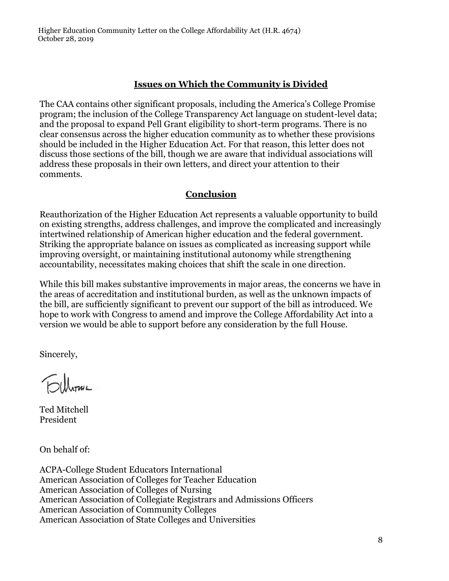Higher Education Community Letter on the College Affordability Act (H.R. 4674) October 28, 2019

#### **Issues on Which the Community is Divided**

The CAA contains other significant proposals, including the America's College Promise program; the inclusion of the College Transparency Act language on student-level data; and the proposal to expand Pell Grant eligibility to short-term programs. There is no clear consensus across the higher education community as to whether these provisions should be included in the Higher Education Act. For that reason, this letter does not discuss those sections of the bill, though we are aware that individual associations will address these proposals in their own letters, and direct your attention to their comments.

#### **Conclusion**

Reauthorization of the Higher Education Act represents a valuable opportunity to build on existing strengths, address challenges, and improve the complicated and increasingly intertwined relationship of American higher education and the federal government. Striking the appropriate balance on issues as complicated as increasing support while improving oversight, or maintaining institutional autonomy while strengthening accountability, necessitates making choices that shift the scale in one direction.

While this bill makes substantive improvements in major areas, the concerns we have in the areas of accreditation and institutional burden, as well as the unknown impacts of the bill, are sufficiently significant to prevent our support of the bill as introduced. We hope to work with Congress to amend and improve the College Affordability Act into a version we would be able to support before any consideration by the full House.

Sincerely,

Filhouse

Ted Mitchell President

On behalf of:

ACPA-College Student Educators International American Association of Colleges for Teacher Education American Association of Colleges of Nursing American Association of Collegiate Registrars and Admissions Officers American Association of Community Colleges American Association of State Colleges and Universities